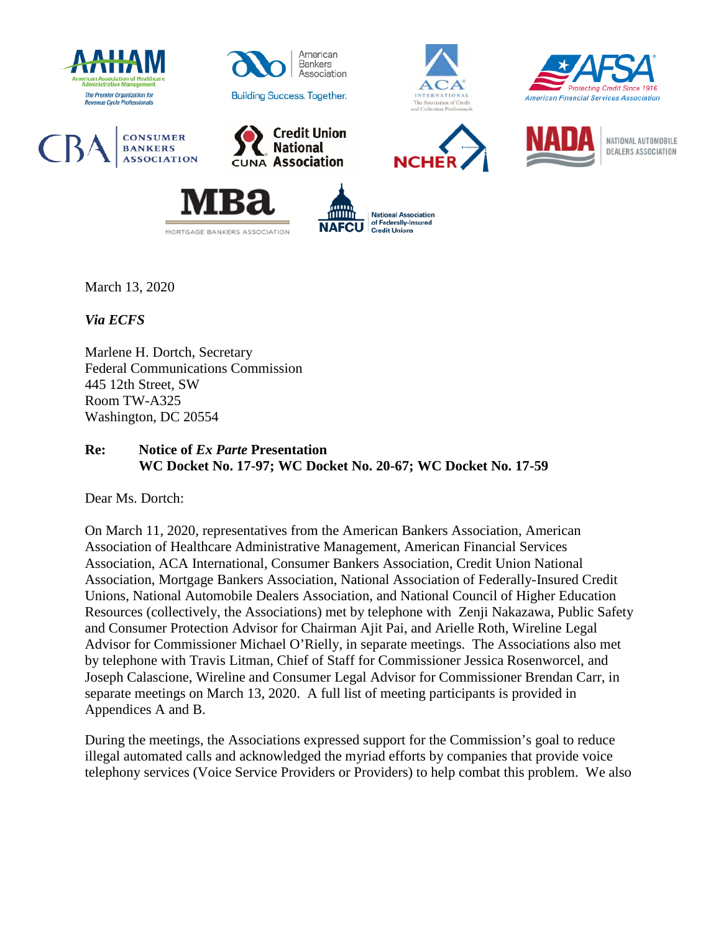







American **Bankers** Association









NATIONAL AUTOMOBILE DEALERS ASSOCIATION







March 13, 2020

*Via ECFS* 

Marlene H. Dortch, Secretary Federal Communications Commission 445 12th Street, SW Room TW-A325 Washington, DC 20554

# **Re: Notice of** *Ex Parte* **Presentation WC Docket No. 17-97; WC Docket No. 20-67; WC Docket No. 17-59**

Dear Ms. Dortch:

On March 11, 2020, representatives from the American Bankers Association, American Association of Healthcare Administrative Management, American Financial Services Association, ACA International, Consumer Bankers Association, Credit Union National Association, Mortgage Bankers Association, National Association of Federally-Insured Credit Unions, National Automobile Dealers Association, and National Council of Higher Education Resources (collectively, the Associations) met by telephone with Zenji Nakazawa, Public Safety and Consumer Protection Advisor for Chairman Ajit Pai, and Arielle Roth, Wireline Legal Advisor for Commissioner Michael O'Rielly, in separate meetings. The Associations also met by telephone with Travis Litman, Chief of Staff for Commissioner Jessica Rosenworcel, and Joseph Calascione, Wireline and Consumer Legal Advisor for Commissioner Brendan Carr, in separate meetings on March 13, 2020. A full list of meeting participants is provided in Appendices A and B.

During the meetings, the Associations expressed support for the Commission's goal to reduce illegal automated calls and acknowledged the myriad efforts by companies that provide voice telephony services (Voice Service Providers or Providers) to help combat this problem. We also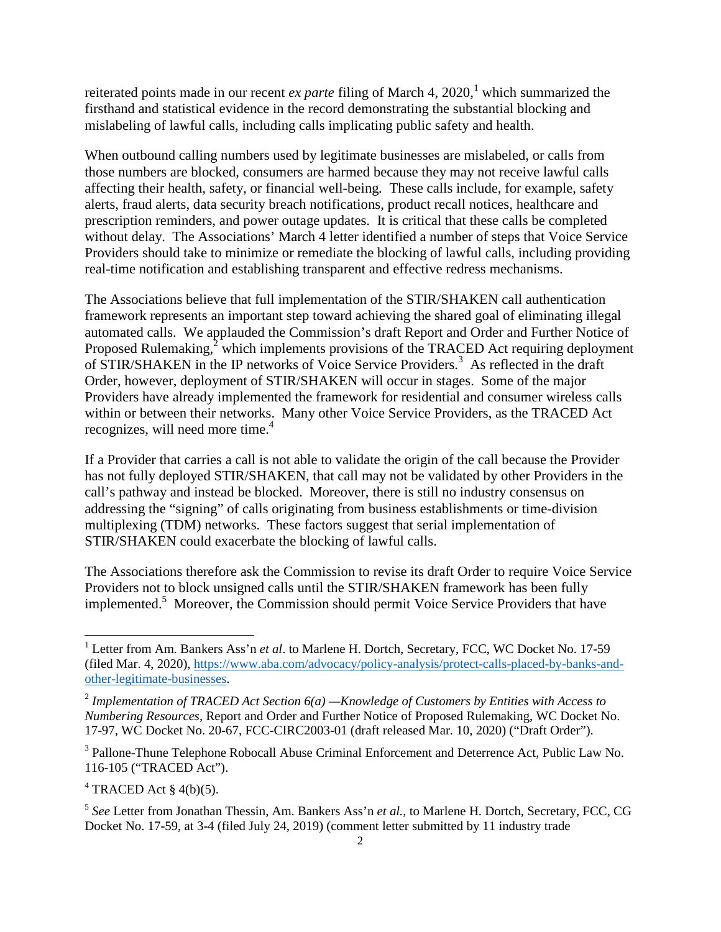reiterated points made in our recent *ex parte* filing of March 4,  $2020$ , which summarized the firsthand and statistical evidence in the record demonstrating the substantial blocking and mislabeling of lawful calls, including calls implicating public safety and health.

When outbound calling numbers used by legitimate businesses are mislabeled, or calls from those numbers are blocked, consumers are harmed because they may not receive lawful calls affecting their health, safety, or financial well-being*.* These calls include, for example, safety alerts, fraud alerts, data security breach notifications, product recall notices, healthcare and prescription reminders, and power outage updates. It is critical that these calls be completed without delay. The Associations' March 4 letter identified a number of steps that Voice Service Providers should take to minimize or remediate the blocking of lawful calls, including providing real-time notification and establishing transparent and effective redress mechanisms.

The Associations believe that full implementation of the STIR/SHAKEN call authentication framework represents an important step toward achieving the shared goal of eliminating illegal automated calls. We applauded the Commission's draft Report and Order and Further Notice of Proposed Rulemaking, $2 \times 1$  which implements provisions of the TRACED Act requiring deployment of STIR/SHAKEN in the IP networks of Voice Service Providers.<sup>3</sup> As reflected in the draft Order, however, deployment of STIR/SHAKEN will occur in stages. Some of the major Providers have already implemented the framework for residential and consumer wireless calls within or between their networks. Many other Voice Service Providers, as the TRACED Act recognizes, will need more time.<sup>4</sup>

If a Provider that carries a call is not able to validate the origin of the call because the Provider has not fully deployed STIR/SHAKEN, that call may not be validated by other Providers in the call's pathway and instead be blocked. Moreover, there is still no industry consensus on addressing the "signing" of calls originating from business establishments or time-division multiplexing (TDM) networks. These factors suggest that serial implementation of STIR/SHAKEN could exacerbate the blocking of lawful calls.

The Associations therefore ask the Commission to revise its draft Order to require Voice Service Providers not to block unsigned calls until the STIR/SHAKEN framework has been fully implemented.<sup>5</sup> Moreover, the Commission should permit Voice Service Providers that have

 $4$  TRACED Act § 4(b)(5).

<sup>&</sup>lt;sup>1</sup> Letter from Am. Bankers Ass'n *et al.* to Marlene H. Dortch, Secretary, FCC, WC Docket No. 17-59 (filed Mar. 4, 2020), https://www.aba.com/advocacy/policy-analysis/protect-calls-placed-by-banks-andother-legitimate-businesses.

<sup>2</sup> *Implementation of TRACED Act Section 6(a) —Knowledge of Customers by Entities with Access to Numbering Resources*, Report and Order and Further Notice of Proposed Rulemaking, WC Docket No. 17-97, WC Docket No. 20-67, FCC-CIRC2003-01 (draft released Mar. 10, 2020) ("Draft Order").

<sup>&</sup>lt;sup>3</sup> Pallone-Thune Telephone Robocall Abuse Criminal Enforcement and Deterrence Act, Public Law No. 116-105 ("TRACED Act").

<sup>5</sup> *See* Letter from Jonathan Thessin, Am. Bankers Ass'n *et al.*, to Marlene H. Dortch, Secretary, FCC, CG Docket No. 17-59, at 3-4 (filed July 24, 2019) (comment letter submitted by 11 industry trade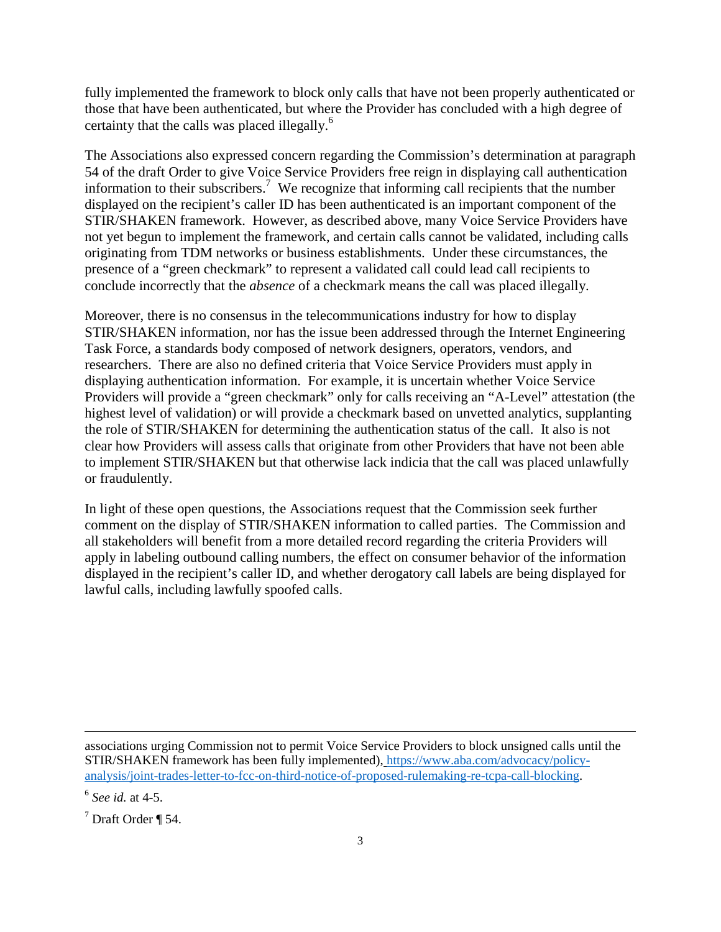fully implemented the framework to block only calls that have not been properly authenticated or those that have been authenticated, but where the Provider has concluded with a high degree of certainty that the calls was placed illegally.<sup>6</sup>

The Associations also expressed concern regarding the Commission's determination at paragraph 54 of the draft Order to give Voice Service Providers free reign in displaying call authentication information to their subscribers.<sup>7</sup> We recognize that informing call recipients that the number displayed on the recipient's caller ID has been authenticated is an important component of the STIR/SHAKEN framework. However, as described above, many Voice Service Providers have not yet begun to implement the framework, and certain calls cannot be validated, including calls originating from TDM networks or business establishments. Under these circumstances, the presence of a "green checkmark" to represent a validated call could lead call recipients to conclude incorrectly that the *absence* of a checkmark means the call was placed illegally.

Moreover, there is no consensus in the telecommunications industry for how to display STIR/SHAKEN information, nor has the issue been addressed through the Internet Engineering Task Force, a standards body composed of network designers, operators, vendors, and researchers. There are also no defined criteria that Voice Service Providers must apply in displaying authentication information. For example, it is uncertain whether Voice Service Providers will provide a "green checkmark" only for calls receiving an "A-Level" attestation (the highest level of validation) or will provide a checkmark based on unvetted analytics, supplanting the role of STIR/SHAKEN for determining the authentication status of the call. It also is not clear how Providers will assess calls that originate from other Providers that have not been able to implement STIR/SHAKEN but that otherwise lack indicia that the call was placed unlawfully or fraudulently.

In light of these open questions, the Associations request that the Commission seek further comment on the display of STIR/SHAKEN information to called parties. The Commission and all stakeholders will benefit from a more detailed record regarding the criteria Providers will apply in labeling outbound calling numbers, the effect on consumer behavior of the information displayed in the recipient's caller ID, and whether derogatory call labels are being displayed for lawful calls, including lawfully spoofed calls.

associations urging Commission not to permit Voice Service Providers to block unsigned calls until the STIR/SHAKEN framework has been fully implemented), https://www.aba.com/advocacy/policyanalysis/joint-trades-letter-to-fcc-on-third-notice-of-proposed-rulemaking-re-tcpa-call-blocking.

<sup>6</sup> *See id.* at 4-5.

 $^7$  Draft Order ¶ 54.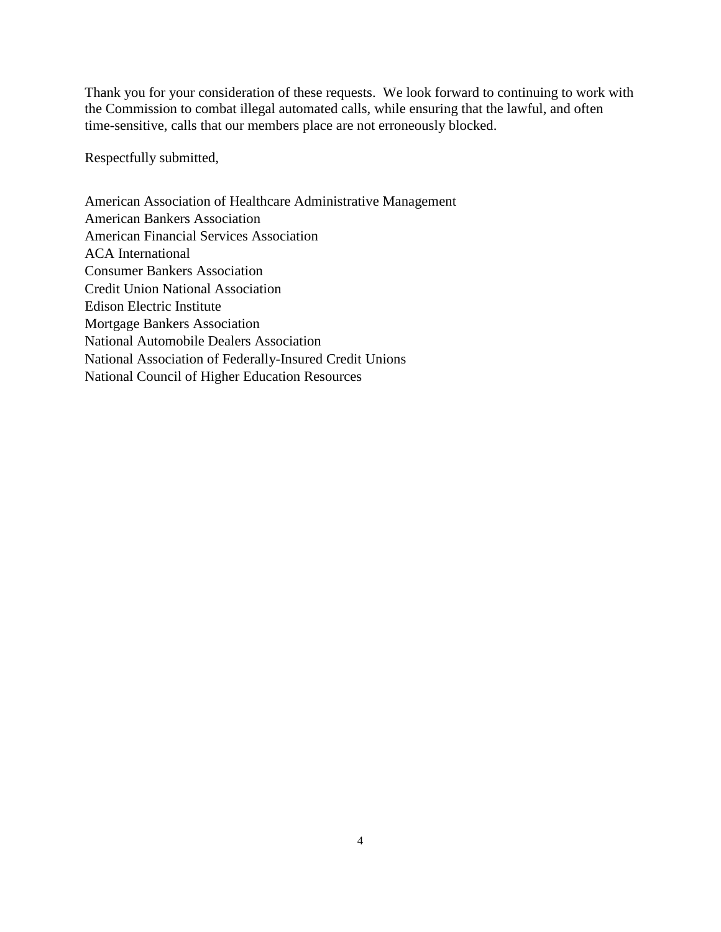Thank you for your consideration of these requests. We look forward to continuing to work with the Commission to combat illegal automated calls, while ensuring that the lawful, and often time-sensitive, calls that our members place are not erroneously blocked.

Respectfully submitted,

American Association of Healthcare Administrative Management American Bankers Association American Financial Services Association ACA International Consumer Bankers Association Credit Union National Association Edison Electric Institute Mortgage Bankers Association National Automobile Dealers Association National Association of Federally-Insured Credit Unions National Council of Higher Education Resources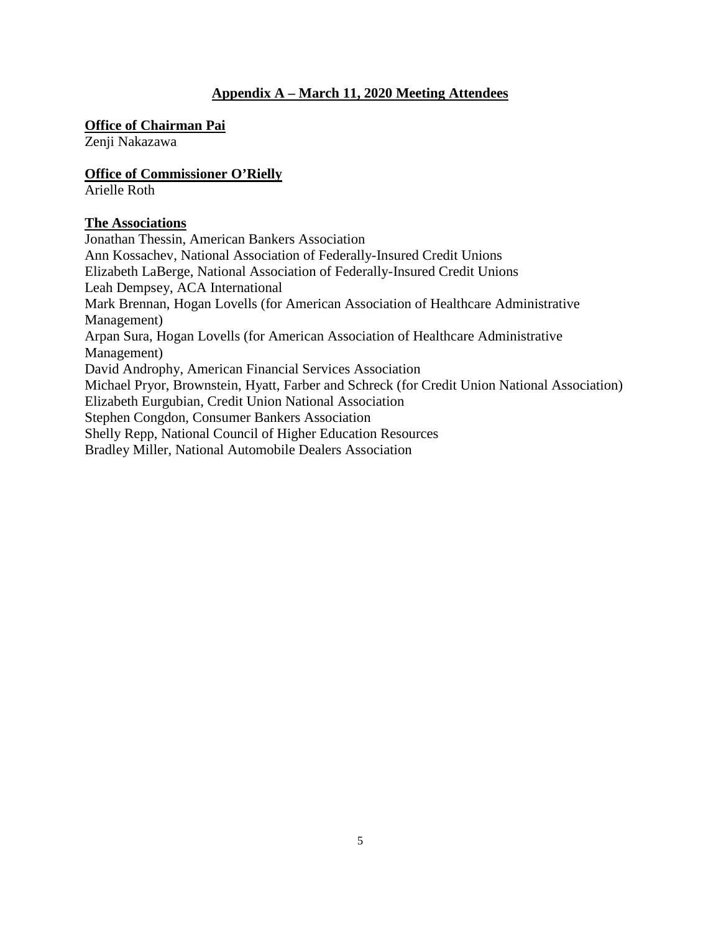## **Appendix A – March 11, 2020 Meeting Attendees**

**Office of Chairman Pai** 

Zenji Nakazawa

#### **Office of Commissioner O'Rielly**

Arielle Roth

#### **The Associations**

Jonathan Thessin, American Bankers Association Ann Kossachev, National Association of Federally-Insured Credit Unions Elizabeth LaBerge, National Association of Federally-Insured Credit Unions Leah Dempsey, ACA International Mark Brennan, Hogan Lovells (for American Association of Healthcare Administrative Management) Arpan Sura, Hogan Lovells (for American Association of Healthcare Administrative Management) David Androphy, American Financial Services Association Michael Pryor, Brownstein, Hyatt, Farber and Schreck (for Credit Union National Association) Elizabeth Eurgubian, Credit Union National Association Stephen Congdon, Consumer Bankers Association Shelly Repp, National Council of Higher Education Resources Bradley Miller, National Automobile Dealers Association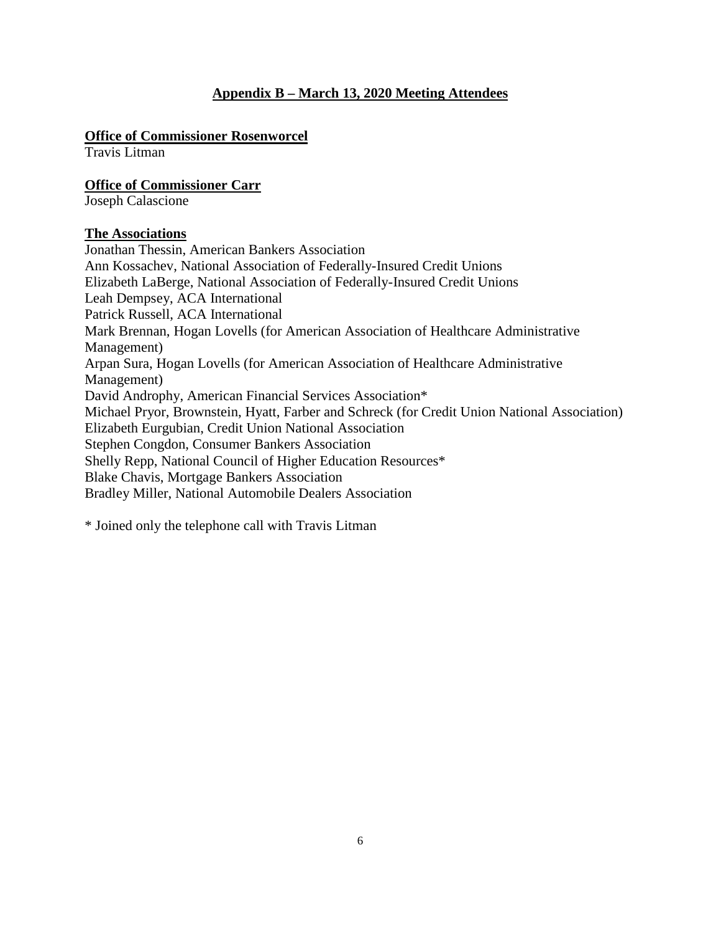# **Appendix B – March 13, 2020 Meeting Attendees**

### **Office of Commissioner Rosenworcel**

Travis Litman

**Office of Commissioner Carr** 

Joseph Calascione

### **The Associations**

Jonathan Thessin, American Bankers Association Ann Kossachev, National Association of Federally-Insured Credit Unions Elizabeth LaBerge, National Association of Federally-Insured Credit Unions Leah Dempsey, ACA International Patrick Russell, ACA International Mark Brennan, Hogan Lovells (for American Association of Healthcare Administrative Management) Arpan Sura, Hogan Lovells (for American Association of Healthcare Administrative Management) David Androphy, American Financial Services Association\* Michael Pryor, Brownstein, Hyatt, Farber and Schreck (for Credit Union National Association) Elizabeth Eurgubian, Credit Union National Association Stephen Congdon, Consumer Bankers Association Shelly Repp, National Council of Higher Education Resources\* Blake Chavis, Mortgage Bankers Association Bradley Miller, National Automobile Dealers Association

\* Joined only the telephone call with Travis Litman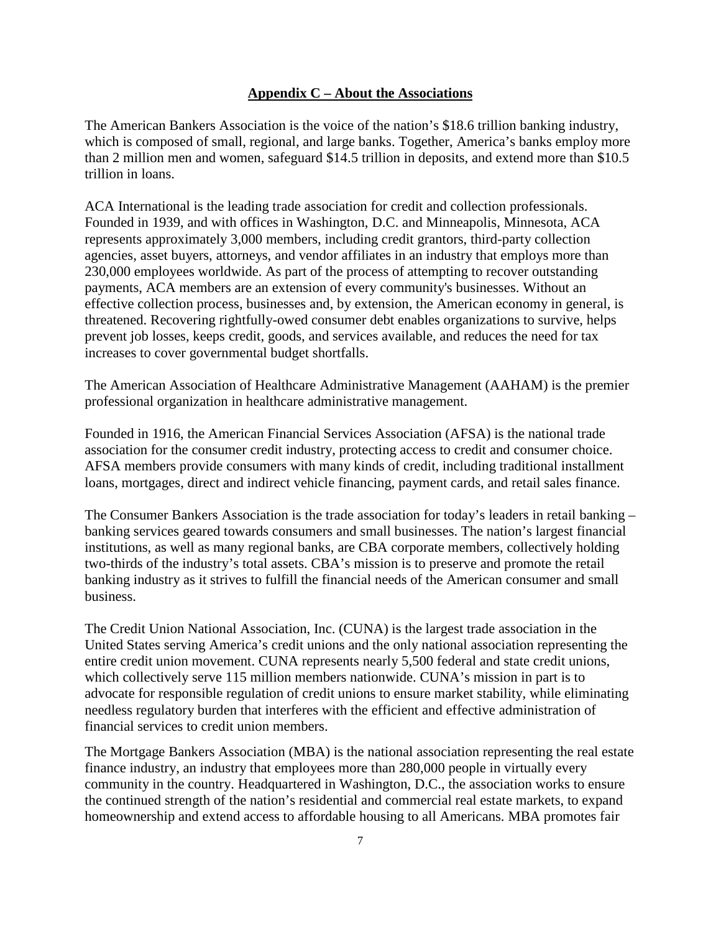#### **Appendix C – About the Associations**

The American Bankers Association is the voice of the nation's \$18.6 trillion banking industry, which is composed of small, regional, and large banks. Together, America's banks employ more than 2 million men and women, safeguard \$14.5 trillion in deposits, and extend more than \$10.5 trillion in loans.

ACA International is the leading trade association for credit and collection professionals. Founded in 1939, and with offices in Washington, D.C. and Minneapolis, Minnesota, ACA represents approximately 3,000 members, including credit grantors, third-party collection agencies, asset buyers, attorneys, and vendor affiliates in an industry that employs more than 230,000 employees worldwide. As part of the process of attempting to recover outstanding payments, ACA members are an extension of every community's businesses. Without an effective collection process, businesses and, by extension, the American economy in general, is threatened. Recovering rightfully-owed consumer debt enables organizations to survive, helps prevent job losses, keeps credit, goods, and services available, and reduces the need for tax increases to cover governmental budget shortfalls.

The American Association of Healthcare Administrative Management (AAHAM) is the premier professional organization in healthcare administrative management.

Founded in 1916, the American Financial Services Association (AFSA) is the national trade association for the consumer credit industry, protecting access to credit and consumer choice. AFSA members provide consumers with many kinds of credit, including traditional installment loans, mortgages, direct and indirect vehicle financing, payment cards, and retail sales finance.

The Consumer Bankers Association is the trade association for today's leaders in retail banking – banking services geared towards consumers and small businesses. The nation's largest financial institutions, as well as many regional banks, are CBA corporate members, collectively holding two-thirds of the industry's total assets. CBA's mission is to preserve and promote the retail banking industry as it strives to fulfill the financial needs of the American consumer and small business.

The Credit Union National Association, Inc. (CUNA) is the largest trade association in the United States serving America's credit unions and the only national association representing the entire credit union movement. CUNA represents nearly 5,500 federal and state credit unions, which collectively serve 115 million members nationwide. CUNA's mission in part is to advocate for responsible regulation of credit unions to ensure market stability, while eliminating needless regulatory burden that interferes with the efficient and effective administration of financial services to credit union members.

The Mortgage Bankers Association (MBA) is the national association representing the real estate finance industry, an industry that employees more than 280,000 people in virtually every community in the country. Headquartered in Washington, D.C., the association works to ensure the continued strength of the nation's residential and commercial real estate markets, to expand homeownership and extend access to affordable housing to all Americans. MBA promotes fair